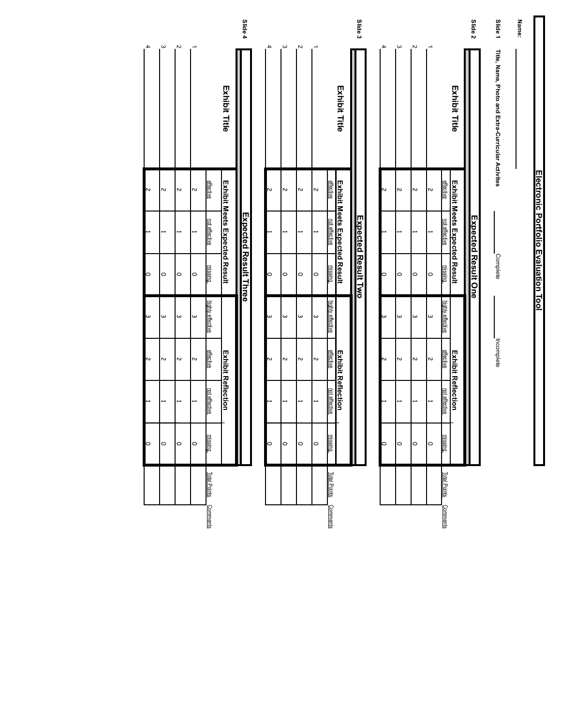| $\omega$<br>$\boldsymbol{\omega}$<br>ω<br>ω<br>$\boldsymbol{\sim}$<br>Z<br>Z<br>$\boldsymbol{\sim}$<br>⊢<br>O<br>$\circ$<br>$\circ$<br>$\circ$ |                       | $\circ$<br>$\circ$<br>$\circ$<br>$\circ$ | ⊷<br>→<br>Ë                                                  | $\sim$<br>$\sim$<br>Z<br>$\sim$ |                                                   | $\boldsymbol{\omega}$<br>4<br>N |
|------------------------------------------------------------------------------------------------------------------------------------------------|-----------------------|------------------------------------------|--------------------------------------------------------------|---------------------------------|---------------------------------------------------|---------------------------------|
| <u>effective</u><br><b>Exhibit Reflection</b><br><u>not effective</u><br>missing                                                               | highly effective      | missing                                  | <b>Exhibit Meets Expected Result</b><br><u>not</u> effective | <u>effective</u>                | <b>Exhibit Title</b>                              |                                 |
|                                                                                                                                                |                       | Expected Result Three                    |                                                              |                                 |                                                   | Slide 4                         |
| 2<br>$\circ$                                                                                                                                   | ω                     | $\circ$                                  |                                                              | Z                               |                                                   |                                 |
| $\sim$<br>$\circ$                                                                                                                              | $\omega$              | $\circ$                                  | →                                                            | $\sim$                          |                                                   | ω                               |
| $\sim$<br>L<br>$\circ$                                                                                                                         | $\boldsymbol{\omega}$ | $\circ$                                  | L                                                            | $\sim$                          |                                                   | $\boldsymbol{\mathsf{N}}$       |
| $\sim$<br>⊷<br>$\circ$                                                                                                                         | $\omega$              | O                                        | ⊷                                                            | $\sim$                          |                                                   |                                 |
| effective<br><b>Exhibit Reflection</b><br>not effective<br>missing                                                                             | highly effective      | missing                                  | Exhibit Meets Expected Result<br>not effective               | effective                       | <b>Exhibit Title</b>                              |                                 |
|                                                                                                                                                |                       | <b>Expected Result Two</b>               |                                                              |                                 |                                                   | Slide 3                         |
|                                                                                                                                                |                       |                                          |                                                              |                                 |                                                   |                                 |
| г<br>O                                                                                                                                         | ω                     | O                                        |                                                              | ς                               |                                                   | 4                               |
| $\boldsymbol{\mathsf{v}}$<br>⊷<br>$\circ$                                                                                                      | $\boldsymbol{\omega}$ | $\circ$                                  | ⊷                                                            | $\boldsymbol{\mathsf{v}}$       |                                                   | ω                               |
| $\sim$<br>$\circ$                                                                                                                              | $\boldsymbol{\omega}$ | $\circ$                                  | Ē                                                            | $\sim$                          |                                                   | $\sim$                          |
| $\sim$<br>$\circ$                                                                                                                              | $\boldsymbol{\omega}$ | $\circ$                                  | ⊷                                                            | $\sim$                          |                                                   |                                 |
| <u>effective</u><br><b>Exhibit Reflection</b><br>nd effective<br><b>missing</b>                                                                | highly effective      | missing                                  | Exhibit Meets Expected Result<br>not effective               | <b>effective</b>                | <b>Exhibit Title</b>                              |                                 |
|                                                                                                                                                |                       | Expected Result One                      |                                                              |                                 |                                                   | Slide <sub>2</sub>              |
| Incomplete                                                                                                                                     |                       | Complete                                 |                                                              |                                 | Title, Name, Photo and Extra-Curricular Activites | Slide 1                         |
|                                                                                                                                                |                       |                                          |                                                              |                                 |                                                   | Name:                           |
|                                                                                                                                                |                       | Electronic Portfolio Evaluation Tool     |                                                              |                                 |                                                   |                                 |